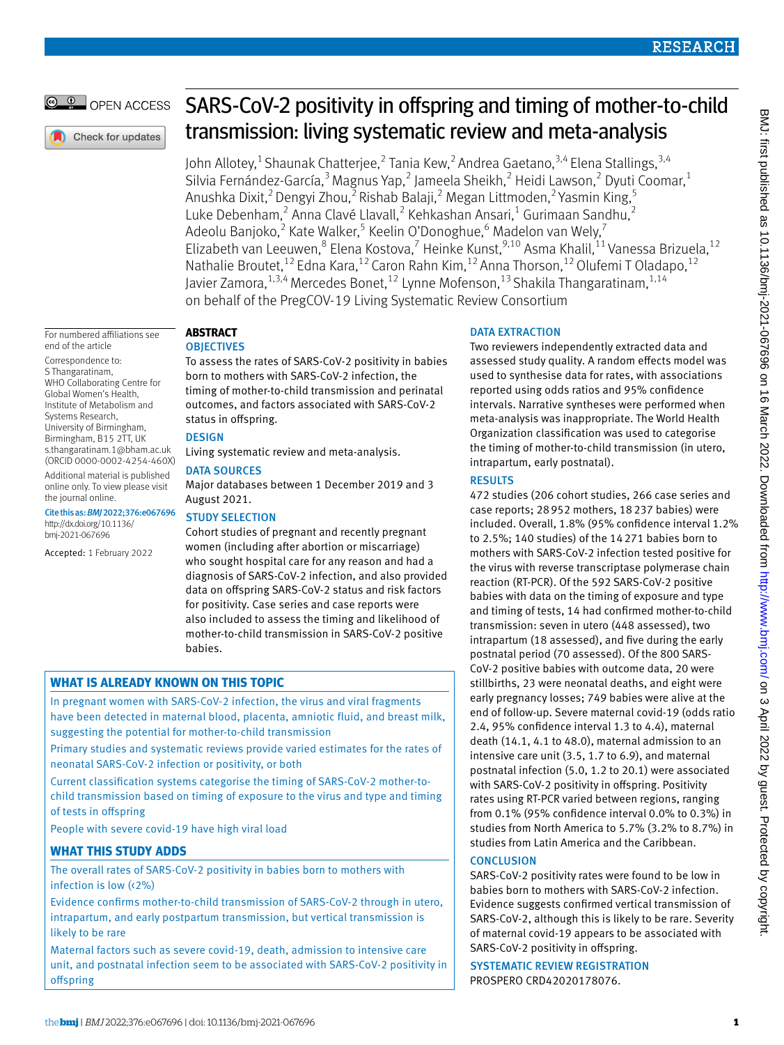# OPEN ACCESS

# SARS-CoV-2 positivity in offspring and timing of mother-to-child transmission: living systematic review and meta-analysis

John Allotey,<sup>1</sup> Shaunak Chatterjee,<sup>2</sup> Tania Kew,<sup>2</sup> Andrea Gaetano,<sup>3,4</sup> Elena Stallings,<sup>3,4</sup> Silvia Fernández-García,<sup>3</sup> Magnus Yap,<sup>2</sup> Jameela Sheikh,<sup>2</sup> Heidi Lawson,<sup>2</sup> Dyuti Coomar,<sup>1</sup> Anushka Dixit, $^2$  Dengyi Zhou, $^2$  Rishab Balaji, $^2$  Megan Littmoden, $^2$  Yasmin King, $^5$ Luke Debenham,<sup>2</sup> Anna Clavé Llavall,<sup>2</sup> Kehkashan Ansari,<sup>1</sup> Gurimaan Sandhu,<sup>2</sup> Adeolu Banjoko,<sup>2</sup> Kate Walker,<sup>5</sup> Keelin O'Donoghue,<sup>6</sup> Madelon van Wely,<sup>7</sup> Elizabeth van Leeuwen,<sup>8</sup> Elena Kostova,<sup>7</sup> Heinke Kunst, <sup>9,10</sup> Asma Khalil, <sup>11</sup> Vanessa Brizuela, <sup>12</sup> Nathalie Broutet,<sup>12</sup> Edna Kara,<sup>12</sup> Caron Rahn Kim,<sup>12</sup> Anna Thorson,<sup>12</sup> Olufemi T Oladapo,<sup>12</sup> Javier Zamora,  $1,3,4$  Mercedes Bonet,  $12$  Lynne Mofenson,  $13$  Shakila Thangaratinam,  $1,14$ on behalf of the PregCOV-19 Living Systematic Review Consortium

For numbered affiliations see end of the article

Correspondence to: S Thangaratinam, WHO Collaborating Centre for Global Women's Health, Institute of Metabolism and Systems Research, University of Birmingham, Birmingham, B15 2TT, UK s.thangaratinam.1@bham.ac.uk (ORCID 0000-0002-4254-460X) Additional material is published online only. To view please visit the journal online.

Cite this as: *BMJ*2022;376:e067696 [http://dx.doi.org/10.1136/](http://dx.doi.org/10.1136/
bmj-2021-067696) [bmj-2021-067696](http://dx.doi.org/10.1136/
bmj-2021-067696)

Accepted: 1 February 2022

#### **Abstract OBJECTIVES**

To assess the rates of SARS-CoV-2 positivity in babies born to mothers with SARS-CoV-2 infection, the timing of mother-to-child transmission and perinatal outcomes, and factors associated with SARS-CoV-2 status in offspring.

# **DESIGN**

Living systematic review and meta-analysis.

## DATA SOURCES

Major databases between 1 December 2019 and 3 August 2021.

## Study selection

Cohort studies of pregnant and recently pregnant women (including after abortion or miscarriage) who sought hospital care for any reason and had a diagnosis of SARS-CoV-2 infection, and also provided data on offspring SARS-CoV-2 status and risk factors for positivity. Case series and case reports were also included to assess the timing and likelihood of mother-to-child transmission in SARS-CoV-2 positive babies.

# **What is already known on this topic**

In pregnant women with SARS-CoV-2 infection, the virus and viral fragments have been detected in maternal blood, placenta, amniotic fluid, and breast milk, suggesting the potential for mother-to-child transmission

Primary studies and systematic reviews provide varied estimates for the rates of neonatal SARS-CoV-2 infection or positivity, or both

Current classification systems categorise the timing of SARS-CoV-2 mother-tochild transmission based on timing of exposure to the virus and type and timing of tests in offspring

People with severe covid-19 have high viral load

# **What this study adds**

The overall rates of SARS-CoV-2 positivity in babies born to mothers with infection is low (<2%)

Evidence confirms mother-to-child transmission of SARS-CoV-2 through in utero, intrapartum, and early postpartum transmission, but vertical transmission is likely to be rare

Maternal factors such as severe covid-19, death, admission to intensive care unit, and postnatal infection seem to be associated with SARS-CoV-2 positivity in offspring

# DATA EXTRACTION

Two reviewers independently extracted data and assessed study quality. A random effects model was used to synthesise data for rates, with associations reported using odds ratios and 95% confidence intervals. Narrative syntheses were performed when meta-analysis was inappropriate. The World Health Organization classification was used to categorise the timing of mother-to-child transmission (in utero, intrapartum, early postnatal).

## **RESULTS**

472 studies (206 cohort studies, 266 case series and case reports; 28952 mothers, 18237 babies) were included. Overall, 1.8% (95% confidence interval 1.2% to 2.5%; 140 studies) of the 14271 babies born to mothers with SARS-CoV-2 infection tested positive for the virus with reverse transcriptase polymerase chain reaction (RT-PCR). Of the 592 SARS-CoV-2 positive babies with data on the timing of exposure and type and timing of tests, 14 had confirmed mother-to-child transmission: seven in utero (448 assessed), two intrapartum (18 assessed), and five during the early postnatal period (70 assessed). Of the 800 SARS-CoV-2 positive babies with outcome data, 20 were stillbirths, 23 were neonatal deaths, and eight were early pregnancy losses; 749 babies were alive at the end of follow-up. Severe maternal covid-19 (odds ratio 2.4, 95% confidence interval 1.3 to 4.4), maternal death (14.1, 4.1 to 48.0), maternal admission to an intensive care unit (3.5, 1.7 to 6.9), and maternal postnatal infection (5.0, 1.2 to 20.1) were associated with SARS-CoV-2 positivity in offspring. Positivity rates using RT-PCR varied between regions, ranging from 0.1% (95% confidence interval 0.0% to 0.3%) in studies from North America to 5.7% (3.2% to 8.7%) in studies from Latin America and the Caribbean.

## **CONCLUSION**

SARS-CoV-2 positivity rates were found to be low in babies born to mothers with SARS-CoV-2 infection. Evidence suggests confirmed vertical transmission of SARS-CoV-2, although this is likely to be rare. Severity of maternal covid-19 appears to be associated with SARS-CoV-2 positivity in offspring.

Systematic review registration PROSPERO CRD42020178076.

Check for updates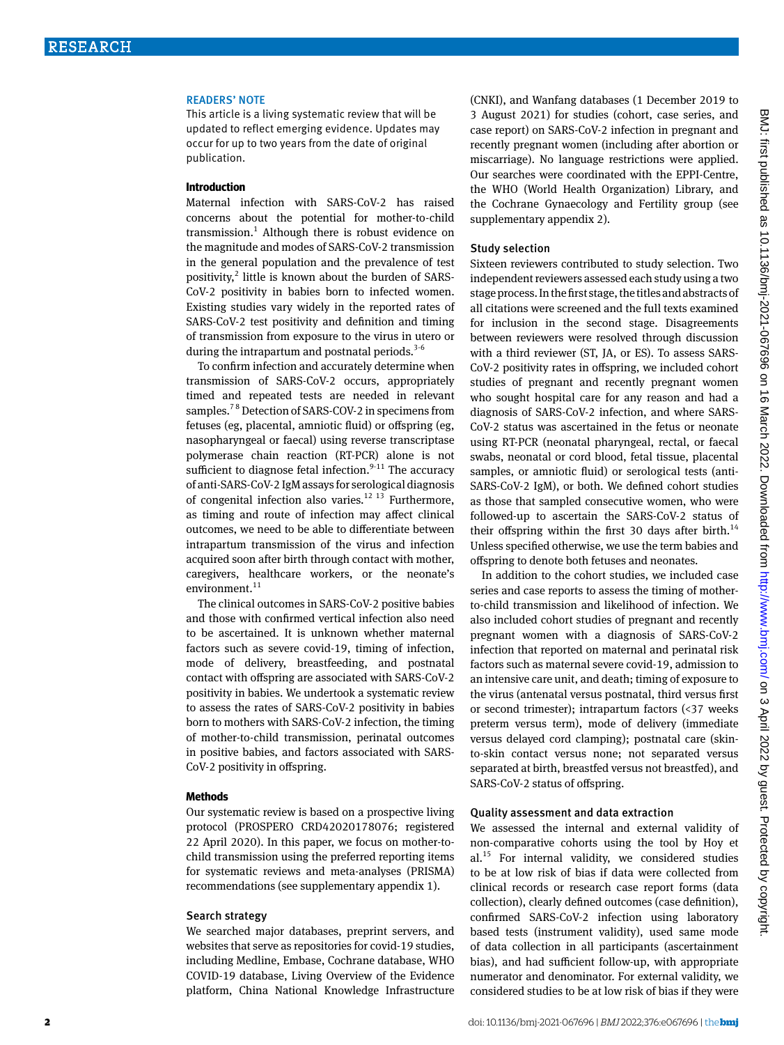#### Readers' note

This article is a living systematic review that will be updated to reflect emerging evidence. Updates may occur for up to two years from the date of original publication.

#### **Introduction**

Maternal infection with SARS-CoV-2 has raised concerns about the potential for mother-to-child transmission.<sup>1</sup> Although there is robust evidence on the magnitude and modes of SARS-CoV-2 transmission in the general population and the prevalence of test positivity,<sup>2</sup> little is known about the burden of SARS-CoV-2 positivity in babies born to infected women. Existing studies vary widely in the reported rates of SARS-CoV-2 test positivity and definition and timing of transmission from exposure to the virus in utero or during the intrapartum and postnatal periods. $3-6$ 

To confirm infection and accurately determine when transmission of SARS-CoV-2 occurs, appropriately timed and repeated tests are needed in relevant samples.<sup>78</sup> Detection of SARS-COV-2 in specimens from fetuses (eg, placental, amniotic fluid) or offspring (eg, nasopharyngeal or faecal) using reverse transcriptase polymerase chain reaction (RT-PCR) alone is not sufficient to diagnose fetal infection. $9-11$  The accuracy of anti-SARS-CoV-2 IgM assays for serological diagnosis of congenital infection also varies.<sup>12 13</sup> Furthermore, as timing and route of infection may affect clinical outcomes, we need to be able to differentiate between intrapartum transmission of the virus and infection acquired soon after birth through contact with mother, caregivers, healthcare workers, or the neonate's environment. $11$ 

The clinical outcomes in SARS-CoV-2 positive babies and those with confirmed vertical infection also need to be ascertained. It is unknown whether maternal factors such as severe covid-19, timing of infection, mode of delivery, breastfeeding, and postnatal contact with offspring are associated with SARS-CoV-2 positivity in babies. We undertook a systematic review to assess the rates of SARS-CoV-2 positivity in babies born to mothers with SARS-CoV-2 infection, the timing of mother-to-child transmission, perinatal outcomes in positive babies, and factors associated with SARS-CoV-2 positivity in offspring.

#### **Methods**

Our systematic review is based on a prospective living protocol (PROSPERO CRD42020178076; registered 22 April 2020). In this paper, we focus on mother-tochild transmission using the preferred reporting items for systematic reviews and meta-analyses (PRISMA) recommendations (see supplementary appendix 1).

#### Search strategy

We searched major databases, preprint servers, and websites that serve as repositories for covid-19 studies, including Medline, Embase, Cochrane database, WHO COVID-19 database, Living Overview of the Evidence platform, China National Knowledge Infrastructure (CNKI), and Wanfang databases (1 December 2019 to 3 August 2021) for studies (cohort, case series, and case report) on SARS-CoV-2 infection in pregnant and recently pregnant women (including after abortion or miscarriage). No language restrictions were applied. Our searches were coordinated with the EPPI-Centre, the WHO (World Health Organization) Library, and the Cochrane Gynaecology and Fertility group (see supplementary appendix 2).

#### Study selection

Sixteen reviewers contributed to study selection. Two independent reviewers assessed each study using a two stage process. In the first stage, the titles and abstracts of all citations were screened and the full texts examined for inclusion in the second stage. Disagreements between reviewers were resolved through discussion with a third reviewer (ST, JA, or ES). To assess SARS-CoV-2 positivity rates in offspring, we included cohort studies of pregnant and recently pregnant women who sought hospital care for any reason and had a diagnosis of SARS-CoV-2 infection, and where SARS-CoV-2 status was ascertained in the fetus or neonate using RT-PCR (neonatal pharyngeal, rectal, or faecal swabs, neonatal or cord blood, fetal tissue, placental samples, or amniotic fluid) or serological tests (anti-SARS-CoV-2 IgM), or both. We defined cohort studies as those that sampled consecutive women, who were followed-up to ascertain the SARS-CoV-2 status of their offspring within the first 30 days after birth.<sup>14</sup> Unless specified otherwise, we use the term babies and offspring to denote both fetuses and neonates.

In addition to the cohort studies, we included case series and case reports to assess the timing of motherto-child transmission and likelihood of infection. We also included cohort studies of pregnant and recently pregnant women with a diagnosis of SARS-CoV-2 infection that reported on maternal and perinatal risk factors such as maternal severe covid-19, admission to an intensive care unit, and death; timing of exposure to the virus (antenatal versus postnatal, third versus first or second trimester); intrapartum factors (<37 weeks preterm versus term), mode of delivery (immediate versus delayed cord clamping); postnatal care (skinto-skin contact versus none; not separated versus separated at birth, breastfed versus not breastfed), and SARS-CoV-2 status of offspring.

## Quality assessment and data extraction

We assessed the internal and external validity of non-comparative cohorts using the tool by Hoy et  $al.^{15}$  For internal validity, we considered studies to be at low risk of bias if data were collected from clinical records or research case report forms (data collection), clearly defined outcomes (case definition), confirmed SARS-CoV-2 infection using laboratory based tests (instrument validity), used same mode of data collection in all participants (ascertainment bias), and had sufficient follow-up, with appropriate numerator and denominator. For external validity, we considered studies to be at low risk of bias if they were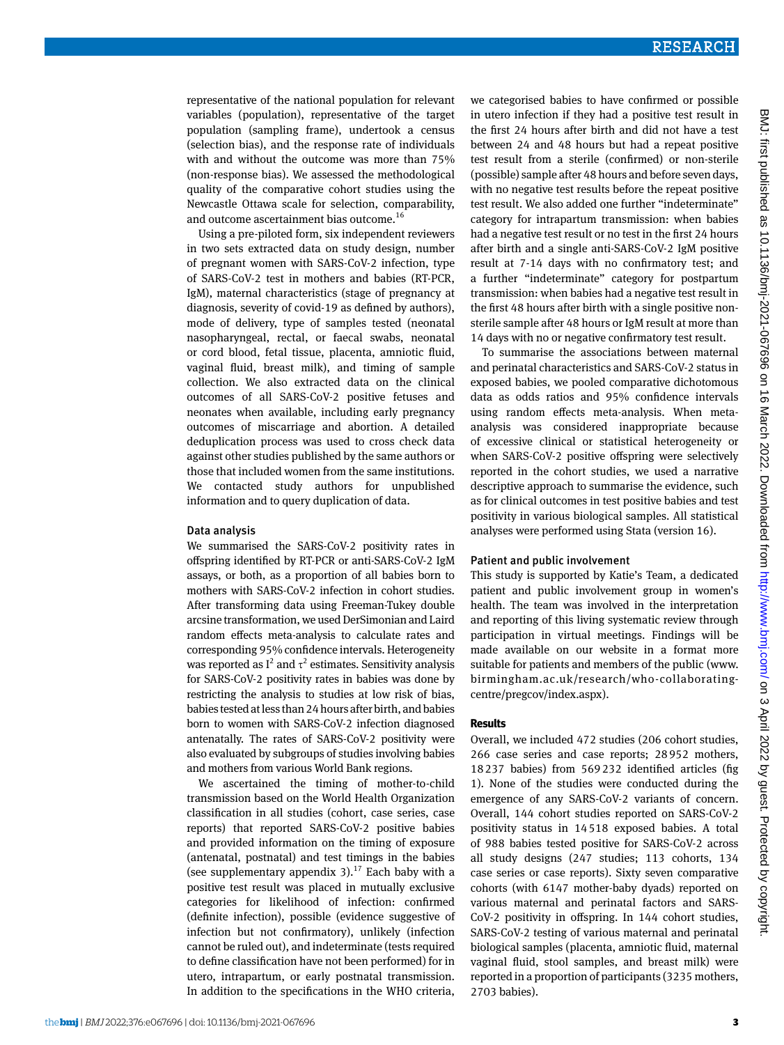representative of the national population for relevant variables (population), representative of the target population (sampling frame), undertook a census (selection bias), and the response rate of individuals with and without the outcome was more than 75% (non-response bias). We assessed the methodological quality of the comparative cohort studies using the Newcastle Ottawa scale for selection, comparability, and outcome ascertainment bias outcome.<sup>16</sup>

Using a pre-piloted form, six independent reviewers in two sets extracted data on study design, number of pregnant women with SARS-CoV-2 infection, type of SARS-CoV-2 test in mothers and babies (RT-PCR, IgM), maternal characteristics (stage of pregnancy at diagnosis, severity of covid-19 as defined by authors), mode of delivery, type of samples tested (neonatal nasopharyngeal, rectal, or faecal swabs, neonatal or cord blood, fetal tissue, placenta, amniotic fluid, vaginal fluid, breast milk), and timing of sample collection. We also extracted data on the clinical outcomes of all SARS-CoV-2 positive fetuses and neonates when available, including early pregnancy outcomes of miscarriage and abortion. A detailed deduplication process was used to cross check data against other studies published by the same authors or those that included women from the same institutions. We contacted study authors for unpublished information and to query duplication of data.

#### Data analysis

We summarised the SARS-CoV-2 positivity rates in offspring identified by RT-PCR or anti-SARS-CoV-2 IgM assays, or both, as a proportion of all babies born to mothers with SARS-CoV-2 infection in cohort studies. After transforming data using Freeman-Tukey double arcsine transformation, we used DerSimonian and Laird random effects meta-analysis to calculate rates and corresponding 95% confidence intervals. Heterogeneity was reported as  $I^2$  and  $\tau^2$  estimates. Sensitivity analysis for SARS-CoV-2 positivity rates in babies was done by restricting the analysis to studies at low risk of bias, babies tested at less than 24 hours after birth, and babies born to women with SARS-CoV-2 infection diagnosed antenatally. The rates of SARS-CoV-2 positivity were also evaluated by subgroups of studies involving babies and mothers from various World Bank regions.

We ascertained the timing of mother-to-child transmission based on the World Health Organization classification in all studies (cohort, case series, case reports) that reported SARS-CoV-2 positive babies and provided information on the timing of exposure (antenatal, postnatal) and test timings in the babies (see supplementary appendix 3). $^{17}$  Each baby with a positive test result was placed in mutually exclusive categories for likelihood of infection: confirmed (definite infection), possible (evidence suggestive of infection but not confirmatory), unlikely (infection cannot be ruled out), and indeterminate (tests required to define classification have not been performed) for in utero, intrapartum, or early postnatal transmission. In addition to the specifications in the WHO criteria,

we categorised babies to have confirmed or possible in utero infection if they had a positive test result in the first 24 hours after birth and did not have a test between 24 and 48 hours but had a repeat positive test result from a sterile (confirmed) or non-sterile (possible) sample after 48 hours and before seven days, with no negative test results before the repeat positive test result. We also added one further "indeterminate" category for intrapartum transmission: when babies had a negative test result or no test in the first 24 hours after birth and a single anti-SARS-CoV-2 IgM positive result at 7-14 days with no confirmatory test; and a further "indeterminate" category for postpartum transmission: when babies had a negative test result in the first 48 hours after birth with a single positive nonsterile sample after 48 hours or IgM result at more than 14 days with no or negative confirmatory test result.

To summarise the associations between maternal and perinatal characteristics and SARS-CoV-2 status in exposed babies, we pooled comparative dichotomous data as odds ratios and 95% confidence intervals using random effects meta-analysis. When metaanalysis was considered inappropriate because of excessive clinical or statistical heterogeneity or when SARS-CoV-2 positive offspring were selectively reported in the cohort studies, we used a narrative descriptive approach to summarise the evidence, such as for clinical outcomes in test positive babies and test positivity in various biological samples. All statistical analyses were performed using Stata (version 16).

## Patient and public involvement

This study is supported by Katie's Team, a dedicated patient and public involvement group in women's health. The team was involved in the interpretation and reporting of this living systematic review through participation in virtual meetings. Findings will be made available on our website in a format more suitable for patients and members of the public (www. birmingham.ac.uk/research/who-collaboratingcentre/pregcov/index.aspx).

#### **Results**

Overall, we included 472 studies (206 cohort studies, 266 case series and case reports; 28952 mothers, 18237 babies) from 569232 identified articles (fig 1). None of the studies were conducted during the emergence of any SARS-CoV-2 variants of concern. Overall, 144 cohort studies reported on SARS-CoV-2 positivity status in 14518 exposed babies. A total of 988 babies tested positive for SARS-CoV-2 across all study designs (247 studies; 113 cohorts, 134 case series or case reports). Sixty seven comparative cohorts (with 6147 mother-baby dyads) reported on various maternal and perinatal factors and SARS-CoV-2 positivity in offspring. In 144 cohort studies, SARS-CoV-2 testing of various maternal and perinatal biological samples (placenta, amniotic fluid, maternal vaginal fluid, stool samples, and breast milk) were reported in a proportion of participants (3235 mothers, 2703 babies).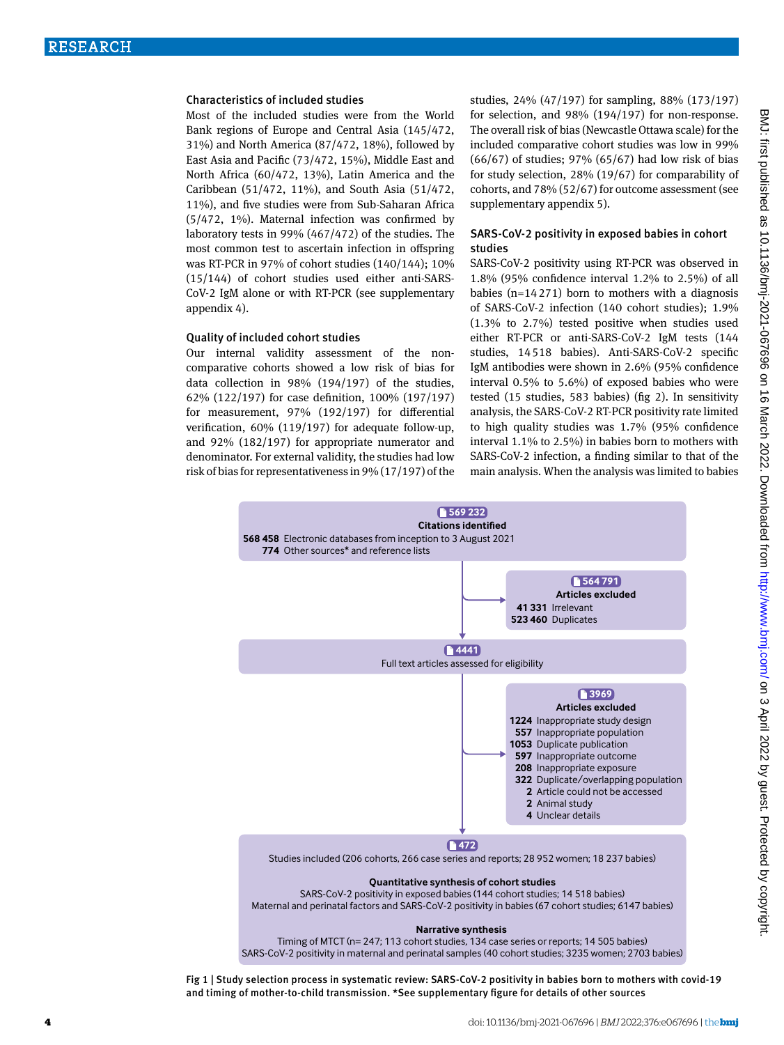## Characteristics of included studies

Most of the included studies were from the World Bank regions of Europe and Central Asia (145/472, 31%) and North America (87/472, 18%), followed by East Asia and Pacific (73/472, 15%), Middle East and North Africa (60/472, 13%), Latin America and the Caribbean (51/472, 11%), and South Asia (51/472, 11%), and five studies were from Sub-Saharan Africa (5/472, 1%). Maternal infection was confirmed by laboratory tests in 99% (467/472) of the studies. The most common test to ascertain infection in offspring was RT-PCR in 97% of cohort studies (140/144); 10% (15/144) of cohort studies used either anti-SARS-CoV-2 IgM alone or with RT-PCR (see supplementary appendix 4).

#### Quality of included cohort studies

Our internal validity assessment of the noncomparative cohorts showed a low risk of bias for data collection in 98% (194/197) of the studies, 62% (122/197) for case definition, 100% (197/197) for measurement, 97% (192/197) for differential verification, 60% (119/197) for adequate follow-up, and 92% (182/197) for appropriate numerator and denominator. For external validity, the studies had low risk of bias for representativeness in 9% (17/197) of the studies, 24% (47/197) for sampling, 88% (173/197) for selection, and 98% (194/197) for non-response. The overall risk of bias (Newcastle Ottawa scale) for the included comparative cohort studies was low in 99% (66/67) of studies; 97% (65/67) had low risk of bias for study selection, 28% (19/67) for comparability of cohorts, and 78% (52/67) for outcome assessment (see supplementary appendix 5).

## SARS-CoV-2 positivity in exposed babies in cohort studies

SARS-CoV-2 positivity using RT-PCR was observed in 1.8% (95% confidence interval 1.2% to 2.5%) of all babies ( $n=14271$ ) born to mothers with a diagnosis of SARS-CoV-2 infection (140 cohort studies); 1.9% (1.3% to 2.7%) tested positive when studies used either RT-PCR or anti-SARS-CoV-2 IgM tests (144 studies, 14518 babies). Anti-SARS-CoV-2 specific IgM antibodies were shown in 2.6% (95% confidence interval 0.5% to 5.6%) of exposed babies who were tested (15 studies, 583 babies) (fig 2). In sensitivity analysis, the SARS-CoV-2 RT-PCR positivity rate limited to high quality studies was 1.7% (95% confidence interval 1.1% to 2.5%) in babies born to mothers with SARS-CoV-2 infection, a finding similar to that of the main analysis. When the analysis was limited to babies



SARS-CoV-2 positivity in maternal and perinatal samples (40 cohort studies; 3235 women; 2703 babies)

Fig 1 | Study selection process in systematic review: SARS -CoV-2 positivity in babies born to mothers with covid-19 and timing of mother-to-child transmission. \*See supplementary figure for details of other sources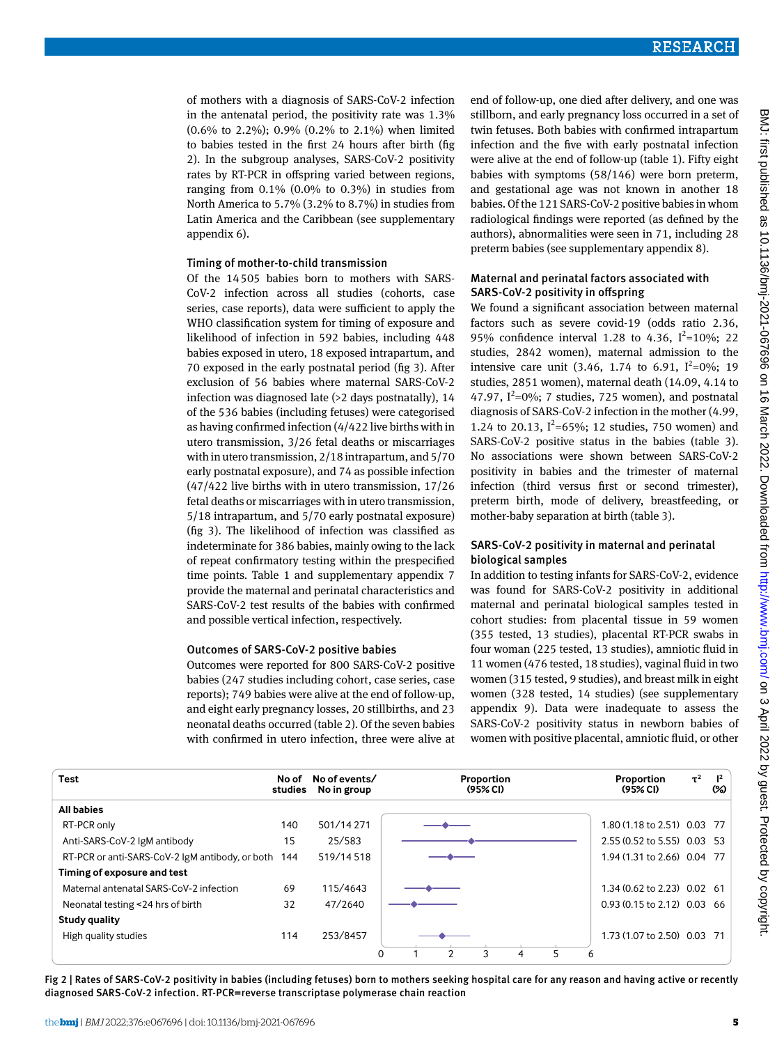of mothers with a diagnosis of SARS-CoV-2 infection in the antenatal period, the positivity rate was 1.3% (0.6% to 2.2%); 0.9% (0.2% to 2.1%) when limited to babies tested in the first 24 hours after birth (fig 2). In the subgroup analyses, SARS-CoV-2 positivity rates by RT-PCR in offspring varied between regions, ranging from 0.1% (0.0% to 0.3%) in studies from North America to 5.7% (3.2% to 8.7%) in studies from Latin America and the Caribbean (see supplementary appendix 6).

#### Timing of mother-to-child transmission

Of the 14505 babies born to mothers with SARS-CoV-2 infection across all studies (cohorts, case series, case reports), data were sufficient to apply the WHO classification system for timing of exposure and likelihood of infection in 592 babies, including 448 babies exposed in utero, 18 exposed intrapartum, and 70 exposed in the early postnatal period (fig 3). After exclusion of 56 babies where maternal SARS-CoV-2 infection was diagnosed late (>2 days postnatally), 14 of the 536 babies (including fetuses) were categorised as having confirmed infection (4/422 live births with in utero transmission, 3/26 fetal deaths or miscarriages with in utero transmission, 2/18 intrapartum, and 5/70 early postnatal exposure), and 74 as possible infection (47/422 live births with in utero transmission, 17/26 fetal deaths or miscarriages with in utero transmission, 5/18 intrapartum, and 5/70 early postnatal exposure) (fig 3). The likelihood of infection was classified as indeterminate for 386 babies, mainly owing to the lack of repeat confirmatory testing within the prespecified time points. Table 1 and supplementary appendix 7 provide the maternal and perinatal characteristics and SARS-CoV-2 test results of the babies with confirmed and possible vertical infection, respectively.

#### Outcomes of SARS -CoV-2 positive babies

Outcomes were reported for 800 SARS-CoV-2 positive babies (247 studies including cohort, case series, case reports); 749 babies were alive at the end of follow-up, and eight early pregnancy losses, 20 stillbirths, and 23 neonatal deaths occurred (table 2). Of the seven babies with confirmed in utero infection, three were alive at

end of follow-up, one died after delivery, and one was stillborn, and early pregnancy loss occurred in a set of twin fetuses. Both babies with confirmed intrapartum infection and the five with early postnatal infection were alive at the end of follow-up (table 1). Fifty eight babies with symptoms (58/146) were born preterm, and gestational age was not known in another 18 babies. Of the 121 SARS-CoV-2 positive babies in whom radiological findings were reported (as defined by the authors), abnormalities were seen in 71, including 28 preterm babies (see supplementary appendix 8).

## Maternal and perinatal factors associated with SARS -CoV-2 positivity in offspring

We found a significant association between maternal factors such as severe covid-19 (odds ratio 2.36, 95% confidence interval 1.28 to 4.36,  $I^2 = 10\%$ ; 22 studies, 2842 women), maternal admission to the intensive care unit (3.46, 1.74 to 6.91,  $I^2=0\%$ ; 19 studies, 2851 women), maternal death (14.09, 4.14 to 47.97,  $I^2=0\%$ ; 7 studies, 725 women), and postnatal diagnosis of SARS-CoV-2 infection in the mother (4.99, 1.24 to 20.13,  $I^2 = 65\%$ ; 12 studies, 750 women) and SARS-CoV-2 positive status in the babies (table 3). No associations were shown between SARS-CoV-2 positivity in babies and the trimester of maternal infection (third versus first or second trimester), preterm birth, mode of delivery, breastfeeding, or mother-baby separation at birth (table 3).

## SARS-CoV-2 positivity in maternal and perinatal biological samples

In addition to testing infants for SARS-CoV-2, evidence was found for SARS-CoV-2 positivity in additional maternal and perinatal biological samples tested in cohort studies: from placental tissue in 59 women (355 tested, 13 studies), placental RT-PCR swabs in four woman (225 tested, 13 studies), amniotic fluid in 11 women (476 tested, 18 studies), vaginal fluid in two women (315 tested, 9 studies), and breast milk in eight women (328 tested, 14 studies) (see supplementary appendix 9). Data were inadequate to assess the SARS-CoV-2 positivity status in newborn babies of women with positive placental, amniotic fluid, or other



Fig 2 | Rates of SARS -CoV-2 positivity in babies (including fetuses) born to mothers seeking hospital care for any reason and having active or recently diagnosed SARS -CoV-2 infection. RT-PCR=reverse transcriptase polymerase chain reaction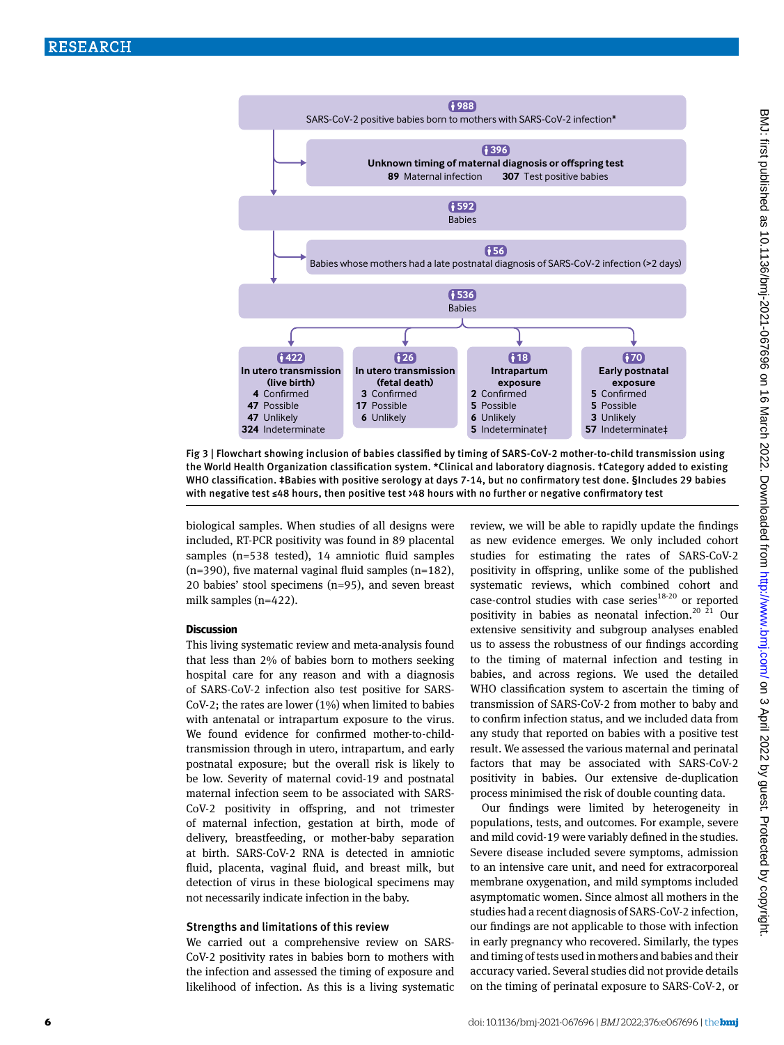

Fig 3 | Flowchart showing inclusion of babies classified by timing of SARS -CoV-2 mother-to-child transmission using the World Health Organization classification system. \*Clinical and laboratory diagnosis. †Category added to existing WHO classification. ‡Babies with positive serology at days 7-14, but no confirmatory test done. §Includes 29 babies with negative test ≤48 hours, then positive test >48 hours with no further or negative confirmatory test

biological samples. When studies of all designs were included, RT-PCR positivity was found in 89 placental samples (n=538 tested), 14 amniotic fluid samples  $(n=390)$ , five maternal vaginal fluid samples  $(n=182)$ , 20 babies' stool specimens (n=95), and seven breast milk samples (n=422).

## **Discussion**

This living systematic review and meta-analysis found that less than 2% of babies born to mothers seeking hospital care for any reason and with a diagnosis of SARS-CoV-2 infection also test positive for SARS-CoV-2; the rates are lower (1%) when limited to babies with antenatal or intrapartum exposure to the virus. We found evidence for confirmed mother-to-childtransmission through in utero, intrapartum, and early postnatal exposure; but the overall risk is likely to be low. Severity of maternal covid-19 and postnatal maternal infection seem to be associated with SARS-CoV-2 positivity in offspring, and not trimester of maternal infection, gestation at birth, mode of delivery, breastfeeding, or mother-baby separation at birth. SARS-CoV-2 RNA is detected in amniotic fluid, placenta, vaginal fluid, and breast milk, but detection of virus in these biological specimens may not necessarily indicate infection in the baby.

#### Strengths and limitations of this review

We carried out a comprehensive review on SARS-CoV-2 positivity rates in babies born to mothers with the infection and assessed the timing of exposure and likelihood of infection. As this is a living systematic review, we will be able to rapidly update the findings as new evidence emerges. We only included cohort studies for estimating the rates of SARS-CoV-2 positivity in offspring, unlike some of the published systematic reviews, which combined cohort and case-control studies with case series $18-20$  or reported positivity in babies as neonatal infection.<sup>20  $\overline{21}$ </sup> Our extensive sensitivity and subgroup analyses enabled us to assess the robustness of our findings according to the timing of maternal infection and testing in babies, and across regions. We used the detailed WHO classification system to ascertain the timing of transmission of SARS-CoV-2 from mother to baby and to confirm infection status, and we included data from any study that reported on babies with a positive test result. We assessed the various maternal and perinatal factors that may be associated with SARS-CoV-2 positivity in babies. Our extensive de-duplication process minimised the risk of double counting data.

Our findings were limited by heterogeneity in populations, tests, and outcomes. For example, severe and mild covid-19 were variably defined in the studies. Severe disease included severe symptoms, admission to an intensive care unit, and need for extracorporeal membrane oxygenation, and mild symptoms included asymptomatic women. Since almost all mothers in the studies had a recent diagnosis of SARS-CoV-2 infection, our findings are not applicable to those with infection in early pregnancy who recovered. Similarly, the types and timing of tests used in mothers and babies and their accuracy varied. Several studies did not provide details on the timing of perinatal exposure to SARS-CoV-2, or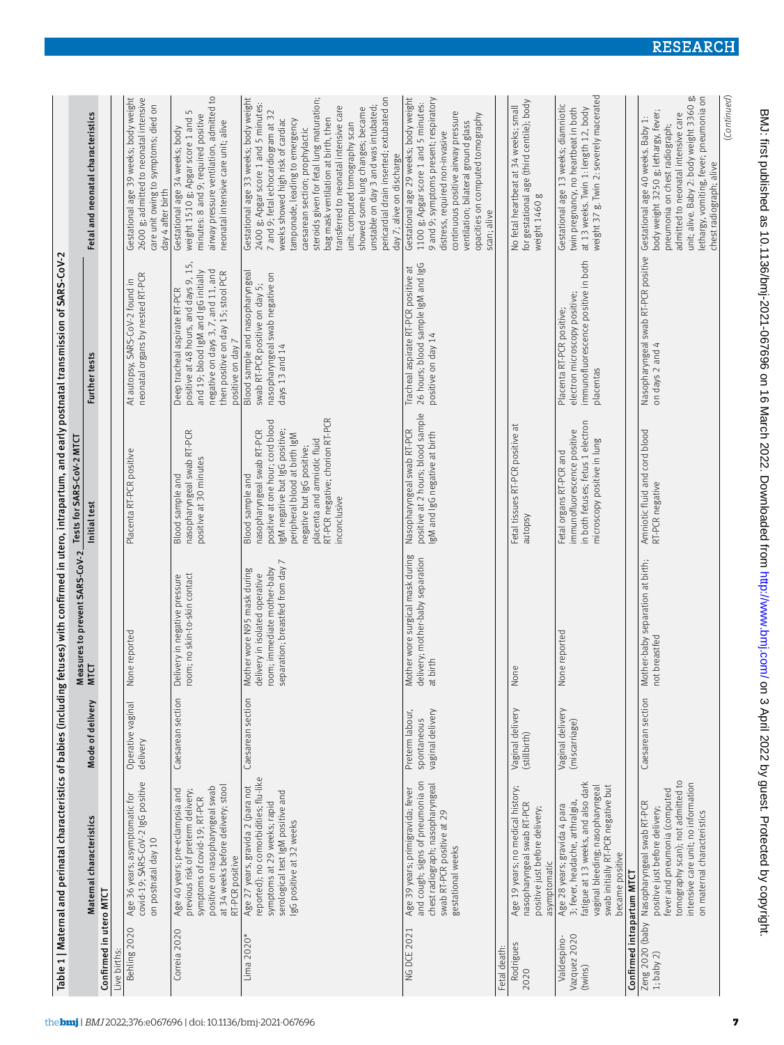|                                        |                                                                                                                                                                                                                                     |                                                    |                                                                                                                                  | Tests for SARS-CoV-2 MTCT                                                                                                                                                                                                                                                   | Table 1   Maternal and perinatal characteristics of babies (including fetuses) with confirmed in utero, intrapartum, and early postnatal transmission of SARS-CoV-2                                            |                                                                                                                                                                                                                                                                                                                                                                                                                                                                                                                                                      |
|----------------------------------------|-------------------------------------------------------------------------------------------------------------------------------------------------------------------------------------------------------------------------------------|----------------------------------------------------|----------------------------------------------------------------------------------------------------------------------------------|-----------------------------------------------------------------------------------------------------------------------------------------------------------------------------------------------------------------------------------------------------------------------------|----------------------------------------------------------------------------------------------------------------------------------------------------------------------------------------------------------------|------------------------------------------------------------------------------------------------------------------------------------------------------------------------------------------------------------------------------------------------------------------------------------------------------------------------------------------------------------------------------------------------------------------------------------------------------------------------------------------------------------------------------------------------------|
|                                        | Maternal characteristics                                                                                                                                                                                                            | Mode of delivery                                   | Measures to prevent SARS-CoV-2<br><b>MTCT</b>                                                                                    | Initial test                                                                                                                                                                                                                                                                | Further tests                                                                                                                                                                                                  | Fetal and neonatal characteristics                                                                                                                                                                                                                                                                                                                                                                                                                                                                                                                   |
| Confirmed in utero MTCT                |                                                                                                                                                                                                                                     |                                                    |                                                                                                                                  |                                                                                                                                                                                                                                                                             |                                                                                                                                                                                                                |                                                                                                                                                                                                                                                                                                                                                                                                                                                                                                                                                      |
| Behling 2020<br>Live births:           | covid-19; SARS-CoV-2 IgG positive<br>Age 36 years; asymptomatic for<br>on postnatal day 10                                                                                                                                          | Operative vaginal<br>delivery                      | None reported                                                                                                                    | Placenta RT-PCR positive                                                                                                                                                                                                                                                    | neonatal organs by nested RT-PCR<br>At autopsy, SARS-CoV-2 found in                                                                                                                                            | Gestational age 39 weeks; body weight<br>2600 g; admitted to neonatal intensive<br>care unit owing to symptoms; died on<br>day 4 after birth                                                                                                                                                                                                                                                                                                                                                                                                         |
| Correia 2020                           | at 34 weeks before delivery; stool<br>positive on nasopharyngeal swab<br>Age 40 years; pre-eclampsia and<br>previous risk of preterm delivery;<br>symptoms of covid-19; RT-PCR<br>RT-PCR positive                                   | Caesarean section                                  | oom; no skin-to-skin contact<br>Delivery in negative pressure                                                                    | nasopharyngeal swab RT-PCR<br>positive at 30 minutes<br><b>Blood sample and</b>                                                                                                                                                                                             | positive at 48 hours, and days 9, 15,<br>negative on days 3, 7, and 11, and<br>and 19; blood IgM and IgG initially<br>then positive on day 15; stool PCR<br>Deep tracheal aspirate RT-PCR<br>positive on day 7 | airway pressure ventilation, admitted to<br>weight 1510 g; Apgar score 1 and 5<br>minutes: 8 and 9; required positive<br>neonatal intensive care unit; alive<br>Gestational age 34 weeks; body                                                                                                                                                                                                                                                                                                                                                       |
| Lima $2020*$                           | reported); no comorbidities; flu-like<br>Age 27 years, gravida 2 (para not<br>serological test IgM positive and<br>symptoms at 29 weeks; rapid<br>gG positive at 32 weeks                                                           | Caesarean section                                  | separation; breastfed from day 7<br>room; immediate mother-baby<br>Mother wore N95 mask during<br>delivery in isolated operative | RT-PCR negative; chorion RT-PCR<br>positive at one hour; cord blood<br>gM negative but IgG positive;<br>nasopharyngeal swab RT-PCR<br>peripheral blood at birth IgM<br>placenta and amniotic fluid<br>negative but IgG positive;<br><b>Blood sample and</b><br>inconclusive | Blood sample and nasopharyngeal<br>nasopharyngeal swab negative on<br>swab RT-PCR positive on day 5;<br>days 13 and 14                                                                                         | pericardial drain inserted; extubated on<br>Gestational age 33 weeks; body weight<br>steroids given for fetal lung maturation;<br>2400 g; Apgar score 1 and 5 minutes:<br>unstable on day 3 and was intubated;<br>transferred to neonatal intensive care<br>showed some lung changes; became<br>7 and 9; fetal echocardiogram at 32<br>weeks showed high risk of cardiac<br>tamponade, leading to emergency<br>bag mask ventilation at birth, then<br>unit; computed tomography scan<br>caesarean section; prophylactic<br>day 7; alive on discharge |
| <b>NG DCE 2021</b>                     | and cough; signs of pneumonia on<br>chest radiograph; nasopharyngeal<br>Age 39 years, primigravida; fever<br>swab RT-PCR positive at 29<br>gestational weeks                                                                        | vaginal delivery<br>Preterm labour,<br>spontaneous | Mother wore surgical mask during<br>delivery; mother-baby separation<br>at birth                                                 | positive at 2 hours; blood sample<br>Nasopharyngeal swab RT-PCR<br>gM and IgG negative at birth                                                                                                                                                                             | 26 hours; blood sample IgM and IgG<br>Tracheal aspirate RT-PCR positive at<br>positive on day 14                                                                                                               | 9 and 9; symptoms present; respiratory<br>Gestational age 29 weeks; body weight<br>1100 g; Apgar score 1 and 5 minutes:<br>continuous positive airway pressure<br>opacities on computed tomography<br>ventilation; bilateral ground glass<br>distress, required non-invasive<br>scan; alive                                                                                                                                                                                                                                                          |
| Fetal death:                           |                                                                                                                                                                                                                                     |                                                    |                                                                                                                                  |                                                                                                                                                                                                                                                                             |                                                                                                                                                                                                                |                                                                                                                                                                                                                                                                                                                                                                                                                                                                                                                                                      |
| Rodrigues<br>2020                      | Age 19 years; no medical history;<br>nasopharyngeal swab RT-PCR<br>positive just before delivery;<br>asymptomatic                                                                                                                   | Vaginal delivery<br>(stillbirth)                   | None                                                                                                                             | Fetal tissues RT-PCR positive at<br>autopsy                                                                                                                                                                                                                                 |                                                                                                                                                                                                                | for gestational age (third centile); body<br>No fetal heartbeat at 34 weeks; small<br>weight 1460 g                                                                                                                                                                                                                                                                                                                                                                                                                                                  |
| Vazquez 2020<br>Valdespino-<br>(twins) | fatigue at 13 weeks, and also dark<br>vaginal bleeding; nasopharyngeal<br>swab initially RT-PCR negative but<br>3; fever, headache, arthralgia,<br>Age 28 years; gravida 4 para<br>became positive                                  | Vaginal delivery<br>(miscarriage)                  | None reported                                                                                                                    | in both fetuses; fetus 1 electron<br>immunofluorescence positive<br>microscopy positive in lung<br>Fetal organs RT-PCR and                                                                                                                                                  | immunofluorescence positive in both<br>electron microscopy positive;<br>Placenta RT-PCR positive<br>placentas                                                                                                  | weight 37 g. Twin 2: severely macerated<br>Gestational age 13 weeks; diamniotic<br>twin pregnancy, no heartbeat in both<br>at 13 weeks. Twin 1: length 12, body                                                                                                                                                                                                                                                                                                                                                                                      |
| Confirmed intrapartum MTCT             |                                                                                                                                                                                                                                     |                                                    |                                                                                                                                  |                                                                                                                                                                                                                                                                             |                                                                                                                                                                                                                |                                                                                                                                                                                                                                                                                                                                                                                                                                                                                                                                                      |
|                                        | to mography scan); not admitted to<br>intensive care unit; no information<br>fever and pneumonia (computed<br>Zeng 2020 (baby Nasopharyngeal swab RT-PCR<br>1; baby 2) positive iust before delivery<br>on maternal characteristics | Caesarean section                                  | Mother-baby separation at birth;<br>not breastfed                                                                                | Amniotic fluid and cord blood<br>RT-PCR negative                                                                                                                                                                                                                            | Nasopharyngeal swab RT-PCR positive<br>on days 2 and 4                                                                                                                                                         | unit; alive. Baby 2: body weight 3360 g;<br>lethargy, vomiting, fever; pneumonia on<br>body weight 3250 g; lethargy, fever;<br>admitted to neonatal intensive care<br>Gestational age 40 weeks. Baby 1:<br>pneumonia on chest radiograph;<br>chest radiograph; alive                                                                                                                                                                                                                                                                                 |
|                                        |                                                                                                                                                                                                                                     |                                                    |                                                                                                                                  |                                                                                                                                                                                                                                                                             |                                                                                                                                                                                                                | (Continued)                                                                                                                                                                                                                                                                                                                                                                                                                                                                                                                                          |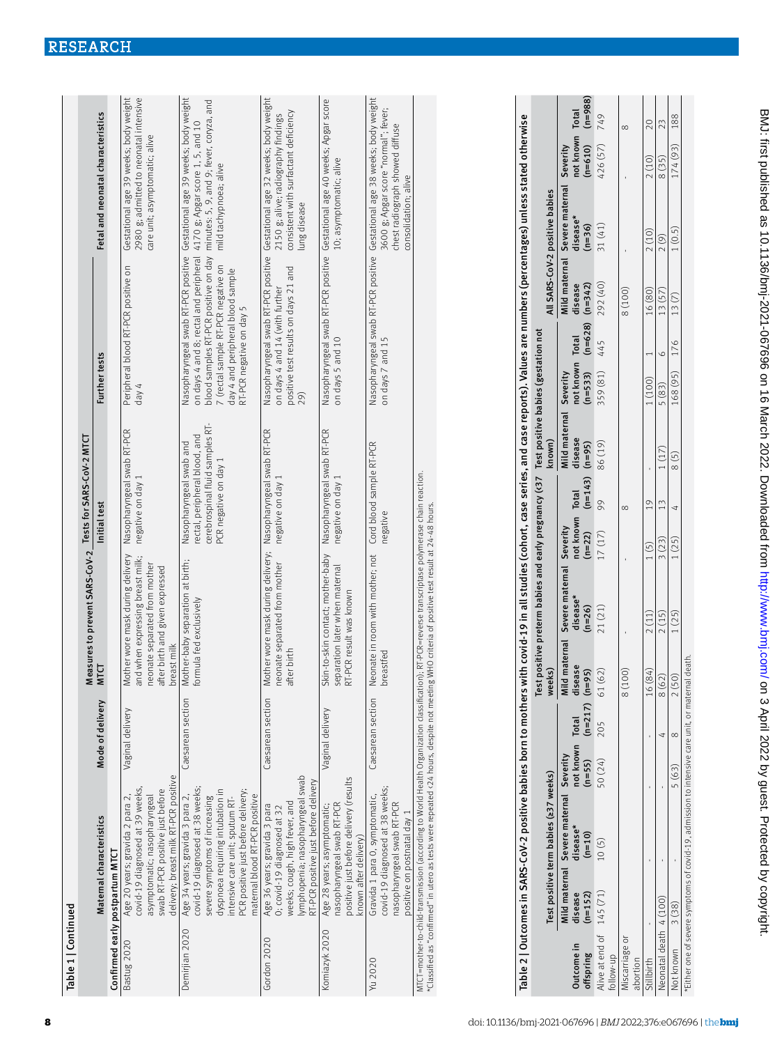| Table 1   Continued |                                                                                                                                                                                                                                                   |                   |                                                                                                                                                         |                                                                                                                    |                                                                                                                                                                                 |                                                                                                                                                                                      |
|---------------------|---------------------------------------------------------------------------------------------------------------------------------------------------------------------------------------------------------------------------------------------------|-------------------|---------------------------------------------------------------------------------------------------------------------------------------------------------|--------------------------------------------------------------------------------------------------------------------|---------------------------------------------------------------------------------------------------------------------------------------------------------------------------------|--------------------------------------------------------------------------------------------------------------------------------------------------------------------------------------|
|                     |                                                                                                                                                                                                                                                   |                   | Measures to prevent SARS-CoV-2 Tests for SARS-CoV-2 MTCT                                                                                                |                                                                                                                    |                                                                                                                                                                                 |                                                                                                                                                                                      |
|                     | Maternal characteristics                                                                                                                                                                                                                          | Mode of delivery  | <b>MTC</b>                                                                                                                                              | Initial test                                                                                                       | Further tests                                                                                                                                                                   | Fetal and neonatal characteristics                                                                                                                                                   |
|                     | Confirmed early postpartum MTCT                                                                                                                                                                                                                   |                   |                                                                                                                                                         |                                                                                                                    |                                                                                                                                                                                 |                                                                                                                                                                                      |
| Bastug 2020         | delivery; breast milk RT-PCR positive<br>covid-19 diagnosed at 39 weeks,<br>swab RT-PCR positive just before<br>asymptomatic; nasopharyngeal<br>Age 20 years; gravida 2 para 2                                                                    | Vaginal delivery  | Mother wore mask during delivery<br>and when expressing breast milk;<br>neonate separated from mother<br>after birth and given expressed<br>breast milk | Nasopharyngeal swab RT-PCR<br>negative on day 1                                                                    | Peripheral blood RT-PCR positive on<br>day 4                                                                                                                                    | 2980 g; admitted to neonatal intensive<br>Gestational age 39 weeks; body weight<br>care unit; asymptomatic; alive                                                                    |
| Demirijan 2020      | covid-19 diagnosed at 38 weeks;<br>dyspnoea requiring intubation in<br>PCR positive just before delivery;<br>maternal blood RT-PCR positive<br>Age 34 years; gravida 3 para 2,<br>severe symptoms of increasing<br>ntensive care unit; sputum RT- | Caesarean section | Mother-baby separation at birth;<br>formula fed exclusively                                                                                             | cerebrospinal fluid samples RT-<br>rectal, peripheral blood, and<br>Nasopharyngeal swab and<br>PCR negative on day | on days 4 and 8; rectal and peripheral 4170 g; Apgar score 1, 5, and 10<br>7 (rectal sample RT-PCR negative on<br>day 4 and peripheral blood sample<br>RT-PCR negative on day 5 | Nasopharyngeal swab RT-PCR positive Gestational age 39 weeks; body weight<br>blood samples RT-PCR positive on day minutes: 5, 9, and 9; fever, coryza, and<br>mild tachypnoea; alive |
| Gordon 2020         | lymphopenia; nasopharyngeal swab<br>RT-PCR positive just before delivery<br>weeks; cough, high fever, and<br>Age 36 years; gravida 3 para<br>O; covid-19 diagnosed at 32                                                                          | Caesarean section | Mother wore mask during delivery; Nasopharyngeal swab RT-PCR<br>neonate separated from mother<br>after birth                                            | negative on day 1                                                                                                  | positive test results on days 21 and<br>on days 4 and 14 (with further<br>29)                                                                                                   | Nasopharyngeal swab RT-PCR positive Gestational age 32 weeks; body weight<br>consistent with surfactant deficiency<br>2150 g; alive; radiography findings<br>lung disease            |
| Komiazyk 2020       | positive just before delivery (results<br>nasopharyngeal swab RT-PCR<br>Age 28 years; asymptomatic;<br>known after delivery)                                                                                                                      | Vaginal delivery  | Skin-to-skin contact; mother-baby<br>separation later when maternal<br>RT-PCR result was known                                                          | Nasopharyngeal swab RT-PCR<br>negative on day 1                                                                    | on days 5 and 10                                                                                                                                                                | Nasopharyngeal swab RT-PCR positive Gestational age 40 weeks; Apgar score<br>10; asymptomatic; alive                                                                                 |
| Yu 2020             | covid-19 diagnosed at 38 weeks;<br>Gravida 1 para 0, symptomatic,<br>nasopharyngeal swab RT-PCR<br>positive on postnatal day 1                                                                                                                    | Caesarean section | Neonate in room with mother; not<br>breastfed                                                                                                           | Cord blood sample RT-PCR<br>negative                                                                               | on days 7 and 15                                                                                                                                                                | Nasopharyngeal swab RT-PCR positive Gestational age 38 weeks; body weight<br>3600 g; Apgar score "normal"; fever;<br>chest radiograph showed diffuse<br>consolidation; alive         |
|                     | MTCT=mother-thild-fransmission (according to World Health Organization classification). RT-PCR=reverse transcriptase polymerase chain reaction                                                                                                    |                   |                                                                                                                                                         |                                                                                                                    |                                                                                                                                                                                 |                                                                                                                                                                                      |

MTCT=mother-to-child-transmission (according to World Health Organization classification); RT-PCR=reverse transcriptase polymerase chain reaction. יאורגידיוויטונידיטיכווויש ישראשיים שבעשה של אייטוני און און א האשר האשר האשר האייטוני און האט האט האט האט האט<br>\*Classified as "confirmed" in utero as tests were repeated 424 hours, despite not meeting WHO criteria of posit \*Classified as "confirmed" in utero as tests were repeated <24 hours, despite not meeting WHO criteria of positive test result at 24-48 hours.

|                                 |           | Table 2   Outcomes in SARS-CoV-2 positive babies born to mothers with covid-19 in all studies (cohort, case series, and case reports). Values are numbers (percentages) unless stated otherwise |                             |     |                   |                                                                                           |                             |               |                        |                               |     |          |                                        |                     |               |
|---------------------------------|-----------|-------------------------------------------------------------------------------------------------------------------------------------------------------------------------------------------------|-----------------------------|-----|-------------------|-------------------------------------------------------------------------------------------|-----------------------------|---------------|------------------------|-------------------------------|-----|----------|----------------------------------------|---------------------|---------------|
|                                 |           | Test positive term babies (237 weeks)                                                                                                                                                           |                             |     | weeks)            | Test positive preterm babies and early pregnancy (<37 Test positive babies (gestation not |                             |               | known)                 |                               |     |          | All SARS-CoV-2 positive babies         |                     |               |
|                                 |           | Mild maternal Severe maternal Severity                                                                                                                                                          |                             |     |                   | Id maternal Severe maternal Severity                                                      |                             |               | Mild maternal Severity |                               |     |          | Mild maternal Severe maternal Severity |                     |               |
| Outcome in                      | disease   | disease*                                                                                                                                                                                        | not known Total             |     | disease           | disease*                                                                                  | not known Total             |               | disease                | not known Total               |     | disease  | disease*                               | not known Total     |               |
| offspring                       | $(n=152)$ | $(n=10)$                                                                                                                                                                                        | $(n=55)$ $(n=217)$ $(n=95)$ |     |                   | $(n=26)$                                                                                  | $(n=22)$ $(n=143)$ $(n=95)$ |               |                        | $(n=533)$ $(n=628)$ $(n=342)$ |     |          | $(n=36)$                               | $(n=610)$ $(n=988)$ |               |
| Alive at end of 145 (71)        |           | 10(5)                                                                                                                                                                                           | 50 (24)                     | 205 | 61 (62)           | 21(21)                                                                                    | 17(17)                      | 99            | 86 (19)                | 359 (81)                      | 445 | 292 (40) | 31 (41)                                | 426 (57) 749        |               |
| tollow-up                       |           |                                                                                                                                                                                                 |                             |     |                   |                                                                                           |                             |               |                        |                               |     |          |                                        |                     |               |
| Miscarriage or                  |           |                                                                                                                                                                                                 |                             |     | (001)<br>$\infty$ |                                                                                           |                             |               |                        |                               |     | 8 (100)  |                                        |                     |               |
| abortion                        |           |                                                                                                                                                                                                 |                             |     |                   |                                                                                           |                             |               |                        |                               |     |          |                                        |                     |               |
| Stillbirth                      |           |                                                                                                                                                                                                 |                             |     | 16 (84)           | 2(11)                                                                                     | 1(5)                        | $\frac{0}{1}$ |                        | 1(100)                        |     | 16 (80)  | 2(10)                                  | 2(10)               |               |
| $\lambda$ eonatal death 4 (100) |           |                                                                                                                                                                                                 |                             |     | (52)<br>$\infty$  | 2(15)                                                                                     | 3(23)                       | $\frac{1}{2}$ | 1(17)                  | 5(83)                         |     | 13(57)   | 2(9)                                   | 8(35)               | $\frac{2}{3}$ |
| Not known                       | 3 (38)    |                                                                                                                                                                                                 | 5 (63)                      |     | (05)              | 1(25)                                                                                     | 1(25)                       |               | 8(5)                   | 168 (95) 176 13 (7)           |     |          | 1(0.5)                                 | 174 (93) 188        |               |
|                                 |           | *Either one of severe symptoms of covid-19, admission to intensive care unit, or maternal death.                                                                                                |                             |     |                   |                                                                                           |                             |               |                        |                               |     |          |                                        |                     |               |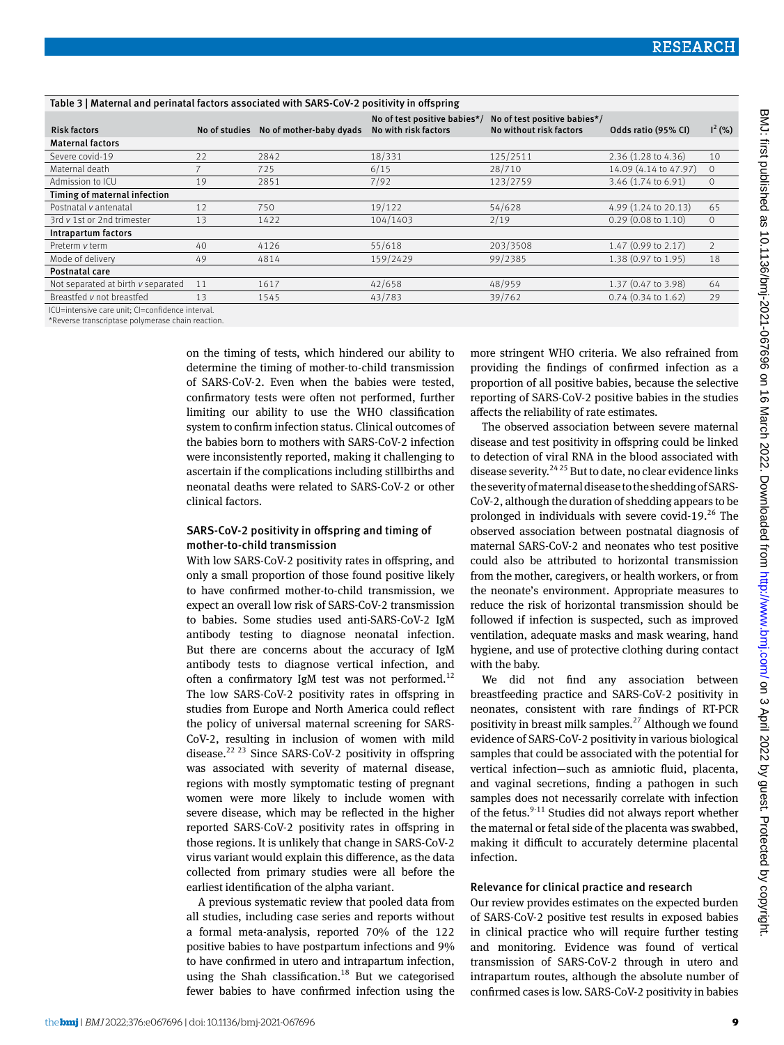| Table 3   Maternal and perinatal factors associated with SARS-CoV-2 positivity in offspring |               |                         |                                                      |                                                         |                       |                |
|---------------------------------------------------------------------------------------------|---------------|-------------------------|------------------------------------------------------|---------------------------------------------------------|-----------------------|----------------|
| <b>Risk factors</b>                                                                         | No of studies | No of mother-baby dyads | No of test positive babies*/<br>No with risk factors | No of test positive babies*/<br>No without risk factors | Odds ratio (95% CI)   | $I^2$ (%)      |
| <b>Maternal factors</b>                                                                     |               |                         |                                                      |                                                         |                       |                |
| Severe covid-19                                                                             | 22            | 2842                    | 18/331                                               | 125/2511                                                | 2.36 (1.28 to 4.36)   | 10             |
| Maternal death                                                                              |               | 725                     | 6/15                                                 | 28/710                                                  | 14.09 (4.14 to 47.97) | $\Omega$       |
| Admission to ICU                                                                            | 19            | 2851                    | 7/92                                                 | 123/2759                                                | 3.46 (1.74 to 6.91)   | $\circ$        |
| Timing of maternal infection                                                                |               |                         |                                                      |                                                         |                       |                |
| Postnatal v antenatal                                                                       | 12            | 750                     | 19/122                                               | 54/628                                                  | 4.99 (1.24 to 20.13)  | 65             |
| 3rd v 1st or 2nd trimester                                                                  | 13            | 1422                    | 104/1403                                             | 2/19                                                    | $0.29$ (0.08 to 1.10) | $\circ$        |
| Intrapartum factors                                                                         |               |                         |                                                      |                                                         |                       |                |
| Preterm v term                                                                              | 40            | 4126                    | 55/618                                               | 203/3508                                                | 1.47 (0.99 to 2.17)   | $\overline{2}$ |
| Mode of delivery                                                                            | 49            | 4814                    | 159/2429                                             | 99/2385                                                 | 1.38 (0.97 to 1.95)   | 18             |
| Postnatal care                                                                              |               |                         |                                                      |                                                         |                       |                |
| Not separated at birth v separated                                                          | 11            | 1617                    | 42/658                                               | 48/959                                                  | 1.37 (0.47 to 3.98)   | 64             |
| Breastfed v not breastfed                                                                   | 13            | 1545                    | 43/783                                               | 39/762                                                  | $0.74$ (0.34 to 1.62) | 29             |

ICU=intensive care unit; CI=confidence interval.

\*Reverse transcriptase polymerase chain reaction.

on the timing of tests, which hindered our ability to determine the timing of mother-to-child transmission of SARS-CoV-2. Even when the babies were tested, confirmatory tests were often not performed, further limiting our ability to use the WHO classification system to confirm infection status. Clinical outcomes of the babies born to mothers with SARS-CoV-2 infection were inconsistently reported, making it challenging to ascertain if the complications including stillbirths and neonatal deaths were related to SARS-CoV-2 or other clinical factors.

## SARS-CoV-2 positivity in offspring and timing of mother-to-child transmission

With low SARS-CoV-2 positivity rates in offspring, and only a small proportion of those found positive likely to have confirmed mother-to-child transmission, we expect an overall low risk of SARS-CoV-2 transmission to babies. Some studies used anti-SARS-CoV-2 IgM antibody testing to diagnose neonatal infection. But there are concerns about the accuracy of IgM antibody tests to diagnose vertical infection, and often a confirmatory IgM test was not performed.<sup>12</sup> The low SARS-CoV-2 positivity rates in offspring in studies from Europe and North America could reflect the policy of universal maternal screening for SARS-CoV-2, resulting in inclusion of women with mild disease.<sup>22 23</sup> Since SARS-CoV-2 positivity in offspring was associated with severity of maternal disease, regions with mostly symptomatic testing of pregnant women were more likely to include women with severe disease, which may be reflected in the higher reported SARS-CoV-2 positivity rates in offspring in those regions. It is unlikely that change in SARS-CoV-2 virus variant would explain this difference, as the data collected from primary studies were all before the earliest identification of the alpha variant.

A previous systematic review that pooled data from all studies, including case series and reports without a formal meta-analysis, reported 70% of the 122 positive babies to have postpartum infections and 9% to have confirmed in utero and intrapartum infection, using the Shah classification.<sup>18</sup> But we categorised fewer babies to have confirmed infection using the more stringent WHO criteria. We also refrained from providing the findings of confirmed infection as a proportion of all positive babies, because the selective reporting of SARS-CoV-2 positive babies in the studies affects the reliability of rate estimates.

The observed association between severe maternal disease and test positivity in offspring could be linked to detection of viral RNA in the blood associated with disease severity.<sup>24 25</sup> But to date, no clear evidence links the severity of maternal disease to the shedding of SARS-CoV-2, although the duration of shedding appears to be prolonged in individuals with severe covid-19. $26$  The observed association between postnatal diagnosis of maternal SARS-CoV-2 and neonates who test positive could also be attributed to horizontal transmission from the mother, caregivers, or health workers, or from the neonate's environment. Appropriate measures to reduce the risk of horizontal transmission should be followed if infection is suspected, such as improved ventilation, adequate masks and mask wearing, hand hygiene, and use of protective clothing during contact with the baby.

We did not find any association between breastfeeding practice and SARS-CoV-2 positivity in neonates, consistent with rare findings of RT-PCR positivity in breast milk samples.<sup>27</sup> Although we found evidence of SARS-CoV-2 positivity in various biological samples that could be associated with the potential for vertical infection—such as amniotic fluid, placenta, and vaginal secretions, finding a pathogen in such samples does not necessarily correlate with infection of the fetus. $9-11$  Studies did not always report whether the maternal or fetal side of the placenta was swabbed, making it difficult to accurately determine placental infection.

## Relevance for clinical practice and research

Our review provides estimates on the expected burden of SARS-CoV-2 positive test results in exposed babies in clinical practice who will require further testing and monitoring. Evidence was found of vertical transmission of SARS-CoV-2 through in utero and intrapartum routes, although the absolute number of confirmed cases is low. SARS-CoV-2 positivity in babies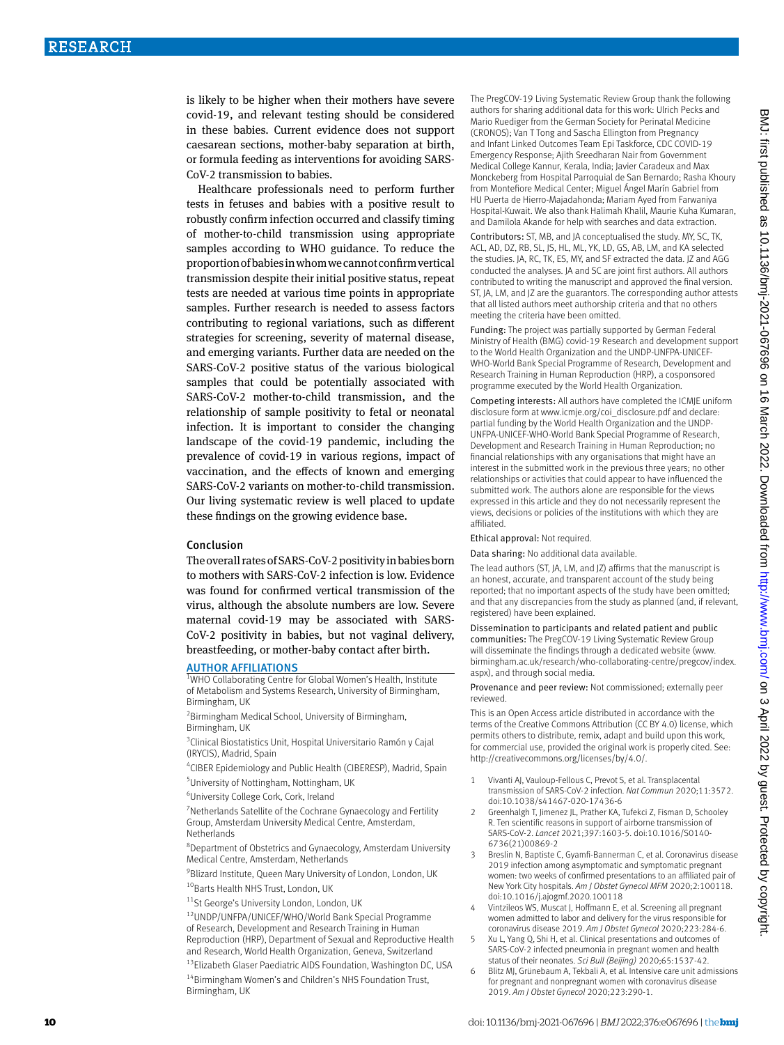is likely to be higher when their mothers have severe covid-19, and relevant testing should be considered in these babies. Current evidence does not support caesarean sections, mother-baby separation at birth, or formula feeding as interventions for avoiding SARS-CoV-2 transmission to babies.

Healthcare professionals need to perform further tests in fetuses and babies with a positive result to robustly confirm infection occurred and classify timing of mother-to-child transmission using appropriate samples according to WHO guidance. To reduce the proportion of babies in whom we cannot confirm vertical transmission despite their initial positive status, repeat tests are needed at various time points in appropriate samples. Further research is needed to assess factors contributing to regional variations, such as different strategies for screening, severity of maternal disease, and emerging variants. Further data are needed on the SARS-CoV-2 positive status of the various biological samples that could be potentially associated with SARS-CoV-2 mother-to-child transmission, and the relationship of sample positivity to fetal or neonatal infection. It is important to consider the changing landscape of the covid-19 pandemic, including the prevalence of covid-19 in various regions, impact of vaccination, and the effects of known and emerging SARS-CoV-2 variants on mother-to-child transmission. Our living systematic review is well placed to update these findings on the growing evidence base.

## Conclusion

The overall rates of SARS-CoV-2 positivity in babies born to mothers with SARS-CoV-2 infection is low. Evidence was found for confirmed vertical transmission of the virus, although the absolute numbers are low. Severe maternal covid-19 may be associated with SARS-CoV-2 positivity in babies, but not vaginal delivery, breastfeeding, or mother-baby contact after birth.

#### **AUTHOR AFFILIATIONS**

<sup>1</sup>WHO Collaborating Centre for Global Women's Health, Institute of Metabolism and Systems Research, University of Birmingham, Birmingham, UK

2 Birmingham Medical School, University of Birmingham, Birmingham, UK

<sup>3</sup> Clinical Biostatistics Unit, Hospital Universitario Ramón y Cajal (IRYCIS), Madrid, Spain

4 CIBER Epidemiology and Public Health (CIBERESP), Madrid, Spain 5 University of Nottingham, Nottingham, UK

6 University College Cork, Cork, Ireland

<sup>7</sup> Netherlands Satellite of the Cochrane Gynaecology and Fertility Group, Amsterdam University Medical Centre, Amsterdam, Netherlands

8 Department of Obstetrics and Gynaecology, Amsterdam University Medical Centre, Amsterdam, Netherlands

<sup>9</sup>Blizard Institute, Queen Mary University of London, London, UK 10Barts Health NHS Trust, London, UK

11St George's University London, London, UK

12UNDP/UNFPA/UNICEF/WHO/World Bank Special Programme of Research, Development and Research Training in Human

Reproduction (HRP), Department of Sexual and Reproductive Health and Research, World Health Organization, Geneva, Switzerland

<sup>13</sup>Elizabeth Glaser Paediatric AIDS Foundation, Washington DC, USA 14Birmingham Women's and Children's NHS Foundation Trust, Birmingham, UK

The PregCOV-19 Living Systematic Review Group thank the following authors for sharing additional data for this work: Ulrich Pecks and Mario Ruediger from the German Society for Perinatal Medicine (CRONOS); Van T Tong and Sascha Ellington from Pregnancy and Infant Linked Outcomes Team Epi Taskforce, CDC COVID-19 Emergency Response; Ajith Sreedharan Nair from Government Medical College Kannur, Kerala, India; Javier Caradeux and Max Monckeberg from Hospital Parroquial de San Bernardo; Rasha Khoury from Montefiore Medical Center; Miguel Ángel Marín Gabriel from HU Puerta de Hierro-Majadahonda; Mariam Ayed from Farwaniya Hospital-Kuwait. We also thank Halimah Khalil, Maurie Kuha Kumaran, and Damilola Akande for help with searches and data extraction.

Contributors: ST, MB, and JA conceptualised the study. MY, SC, TK, ACL, AD, DZ, RB, SL, JS, HL, ML, YK, LD, GS, AB, LM, and KA selected the studies. JA, RC, TK, ES, MY, and SF extracted the data. JZ and AGG conducted the analyses. JA and SC are joint first authors. All authors contributed to writing the manuscript and approved the final version. ST, JA, LM, and JZ are the guarantors. The corresponding author attests that all listed authors meet authorship criteria and that no others meeting the criteria have been omitted.

Funding: The project was partially supported by German Federal Ministry of Health (BMG) covid-19 Research and development support to the World Health Organization and the UNDP-UNFPA-UNICEF-WHO-World Bank Special Programme of Research, Development and Research Training in Human Reproduction (HRP), a cosponsored programme executed by the World Health Organization.

Competing interests: All authors have completed the ICMJE uniform disclosure form at www.icmje.org/coi\_disclosure.pdf and declare: partial funding by the World Health Organization and the UNDP-UNFPA-UNICEF-WHO-World Bank Special Programme of Research, Development and Research Training in Human Reproduction; no financial relationships with any organisations that might have an interest in the submitted work in the previous three years; no other relationships or activities that could appear to have influenced the submitted work. The authors alone are responsible for the views expressed in this article and they do not necessarily represent the views, decisions or policies of the institutions with which they are affiliated.

Ethical approval: Not required.

Data sharing: No additional data available.

The lead authors (ST, JA, LM, and JZ) affirms that the manuscript is an honest, accurate, and transparent account of the study being reported; that no important aspects of the study have been omitted; and that any discrepancies from the study as planned (and, if relevant, registered) have been explained.

Dissemination to participants and related patient and public communities: The PregCOV-19 Living Systematic Review Group will disseminate the findings through a dedicated website (www. birmingham.ac.uk/research/who-collaborating-centre/pregcov/index. aspx), and through social media.

Provenance and peer review: Not commissioned; externally peer reviewed.

This is an Open Access article distributed in accordance with the terms of the Creative Commons Attribution (CC BY 4.0) license, which permits others to distribute, remix, adapt and build upon this work, for commercial use, provided the original work is properly cited. See: http://creativecommons.org/licenses/by/4.0/.

- 1 Vivanti AJ, Vauloup-Fellous C, Prevot S, et al. Transplacental transmission of SARS-CoV-2 infection. *Nat Commun* 2020;11:3572. doi:10.1038/s41467-020-17436-6
- 2 Greenhalgh T, Jimenez JL, Prather KA, Tufekci Z, Fisman D, Schooley R. Ten scientific reasons in support of airborne transmission of SARS-CoV-2. *Lancet* 2021;397:1603-5. doi:10.1016/S0140- 6736(21)00869-2
- 3 Breslin N, Baptiste C, Gyamfi-Bannerman C, et al. Coronavirus disease 2019 infection among asymptomatic and symptomatic pregnant women: two weeks of confirmed presentations to an affiliated pair of New York City hospitals. *Am J Obstet Gynecol MFM* 2020;2:100118. doi:10.1016/j.ajogmf.2020.100118
- 4 Vintzileos WS, Muscat J, Hoffmann E, et al. Screening all pregnant women admitted to labor and delivery for the virus responsible for coronavirus disease 2019. *Am J Obstet Gynecol* 2020;223:284-6.
- Xu L, Yang Q, Shi H, et al. Clinical presentations and outcomes of SARS-CoV-2 infected pneumonia in pregnant women and health status of their neonates. *Sci Bull (Beijing)* 2020;65:1537-42.
- Blitz MJ, Grünebaum A, Tekbali A, et al. Intensive care unit admissions for pregnant and nonpregnant women with coronavirus disease 2019. *Am J Obstet Gynecol* 2020;223:290-1.